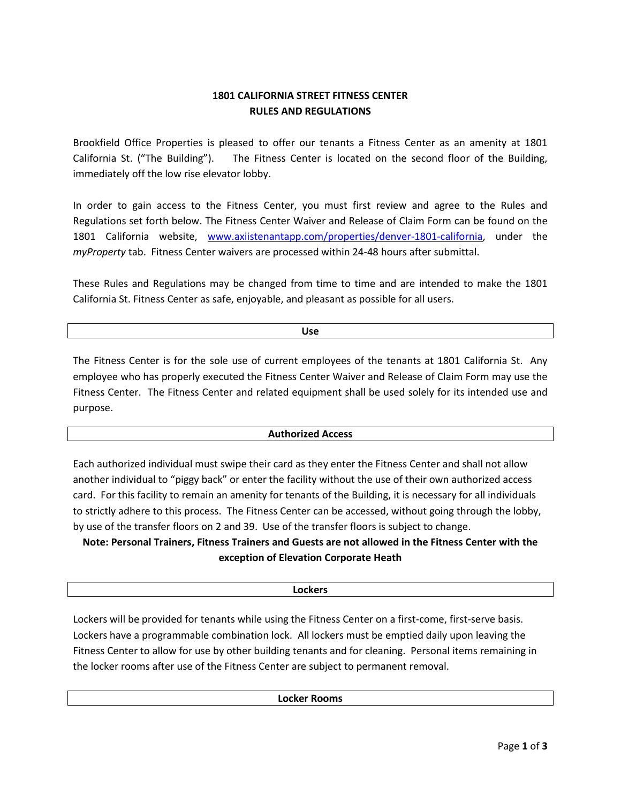# **1801 CALIFORNIA STREET FITNESS CENTER RULES AND REGULATIONS**

Brookfield Office Properties is pleased to offer our tenants a Fitness Center as an amenity at 1801 California St. ("The Building"). The Fitness Center is located on the second floor of the Building, immediately off the low rise elevator lobby.

In order to gain access to the Fitness Center, you must first review and agree to the Rules and Regulations set forth below. The Fitness Center Waiver and Release of Claim Form can be found on the 1801 California website, [www.axiistenantapp.com/properties/denver-1801-california,](http://www.axiistenantapp.com/properties/denver-1801-california) under the *myProperty* tab. Fitness Center waivers are processed within 24-48 hours after submittal.

These Rules and Regulations may be changed from time to time and are intended to make the 1801 California St. Fitness Center as safe, enjoyable, and pleasant as possible for all users.

**Use**

The Fitness Center is for the sole use of current employees of the tenants at 1801 California St. Any employee who has properly executed the Fitness Center Waiver and Release of Claim Form may use the Fitness Center. The Fitness Center and related equipment shall be used solely for its intended use and purpose.

# **Authorized Access**

Each authorized individual must swipe their card as they enter the Fitness Center and shall not allow another individual to "piggy back" or enter the facility without the use of their own authorized access card. For this facility to remain an amenity for tenants of the Building, it is necessary for all individuals to strictly adhere to this process. The Fitness Center can be accessed, without going through the lobby, by use of the transfer floors on 2 and 39. Use of the transfer floors is subject to change.

**Note: Personal Trainers, Fitness Trainers and Guests are not allowed in the Fitness Center with the exception of Elevation Corporate Heath**

### **Lockers**

Lockers will be provided for tenants while using the Fitness Center on a first-come, first-serve basis. Lockers have a programmable combination lock. All lockers must be emptied daily upon leaving the Fitness Center to allow for use by other building tenants and for cleaning. Personal items remaining in the locker rooms after use of the Fitness Center are subject to permanent removal.

**Locker Rooms**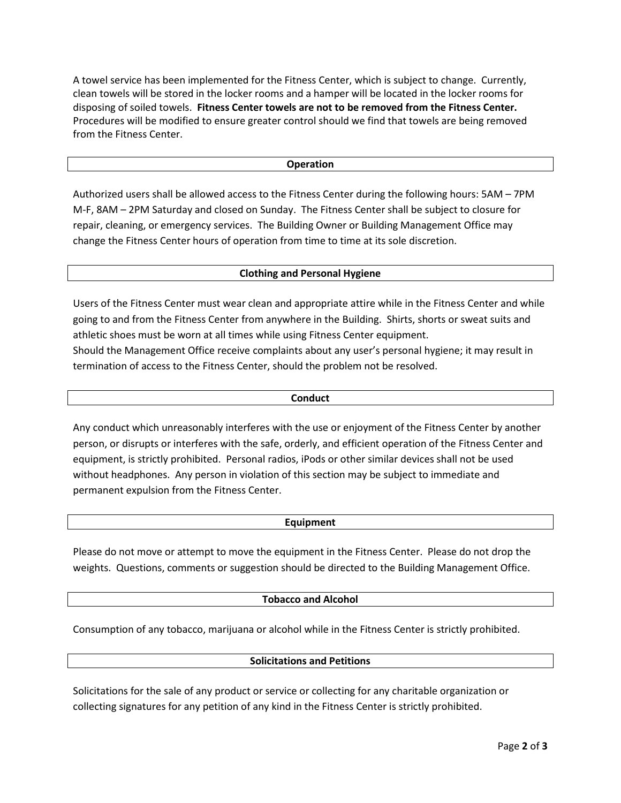A towel service has been implemented for the Fitness Center, which is subject to change. Currently, clean towels will be stored in the locker rooms and a hamper will be located in the locker rooms for disposing of soiled towels. **Fitness Center towels are not to be removed from the Fitness Center.** Procedures will be modified to ensure greater control should we find that towels are being removed from the Fitness Center.

### **Operation**

Authorized users shall be allowed access to the Fitness Center during the following hours: 5AM – 7PM M-F, 8AM – 2PM Saturday and closed on Sunday. The Fitness Center shall be subject to closure for repair, cleaning, or emergency services. The Building Owner or Building Management Office may change the Fitness Center hours of operation from time to time at its sole discretion.

### **Clothing and Personal Hygiene**

Users of the Fitness Center must wear clean and appropriate attire while in the Fitness Center and while going to and from the Fitness Center from anywhere in the Building. Shirts, shorts or sweat suits and athletic shoes must be worn at all times while using Fitness Center equipment. Should the Management Office receive complaints about any user's personal hygiene; it may result in termination of access to the Fitness Center, should the problem not be resolved.

#### **Conduct**

Any conduct which unreasonably interferes with the use or enjoyment of the Fitness Center by another person, or disrupts or interferes with the safe, orderly, and efficient operation of the Fitness Center and equipment, is strictly prohibited. Personal radios, iPods or other similar devices shall not be used without headphones. Any person in violation of this section may be subject to immediate and permanent expulsion from the Fitness Center.

#### **Equipment**

Please do not move or attempt to move the equipment in the Fitness Center. Please do not drop the weights. Questions, comments or suggestion should be directed to the Building Management Office.

### **Tobacco and Alcohol**

Consumption of any tobacco, marijuana or alcohol while in the Fitness Center is strictly prohibited.

#### **Solicitations and Petitions**

Solicitations for the sale of any product or service or collecting for any charitable organization or collecting signatures for any petition of any kind in the Fitness Center is strictly prohibited.